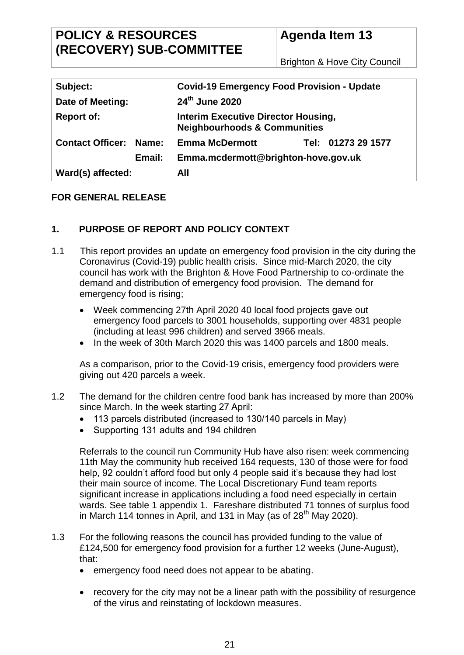# **POLICY & RESOURCES (RECOVERY) SUB-COMMITTEE**

# **Agenda Item 13**

Brighton & Hove City Council

| Subject:                         | <b>Covid-19 Emergency Food Provision - Update</b>                                     |  |
|----------------------------------|---------------------------------------------------------------------------------------|--|
| Date of Meeting:                 | 24th June 2020                                                                        |  |
| <b>Report of:</b>                | <b>Interim Executive Director Housing,</b><br><b>Neighbourhoods &amp; Communities</b> |  |
| <b>Contact Officer:</b><br>Name: | Tel: 01273 29 1577<br><b>Emma McDermott</b>                                           |  |
| Email:                           | Emma.mcdermott@brighton-hove.gov.uk                                                   |  |
| Ward(s) affected:                | All                                                                                   |  |

## **FOR GENERAL RELEASE**

## **1. PURPOSE OF REPORT AND POLICY CONTEXT**

- 1.1 This report provides an update on emergency food provision in the city during the Coronavirus (Covid-19) public health crisis. Since mid-March 2020, the city council has work with the Brighton & Hove Food Partnership to co-ordinate the demand and distribution of emergency food provision. The demand for emergency food is rising;
	- Week commencing 27th April 2020 40 local food projects gave out emergency food parcels to 3001 households, supporting over 4831 people (including at least 996 children) and served 3966 meals.
	- In the week of 30th March 2020 this was 1400 parcels and 1800 meals.

As a comparison, prior to the Covid-19 crisis, emergency food providers were giving out 420 parcels a week.

- 1.2 The demand for the children centre food bank has increased by more than 200% since March. In the week starting 27 April:
	- 113 parcels distributed (increased to 130/140 parcels in May)
	- Supporting 131 adults and 194 children

Referrals to the council run Community Hub have also risen: week commencing 11th May the community hub received 164 requests, 130 of those were for food help, 92 couldn't afford food but only 4 people said it's because they had lost their main source of income. The Local Discretionary Fund team reports significant increase in applications including a food need especially in certain wards. See table 1 appendix 1. Fareshare distributed 71 tonnes of surplus food in March 114 tonnes in April, and 131 in May (as of  $28<sup>th</sup>$  May 2020).

- 1.3 For the following reasons the council has provided funding to the value of £124,500 for emergency food provision for a further 12 weeks (June-August), that:
	- emergency food need does not appear to be abating.
	- recovery for the city may not be a linear path with the possibility of resurgence of the virus and reinstating of lockdown measures.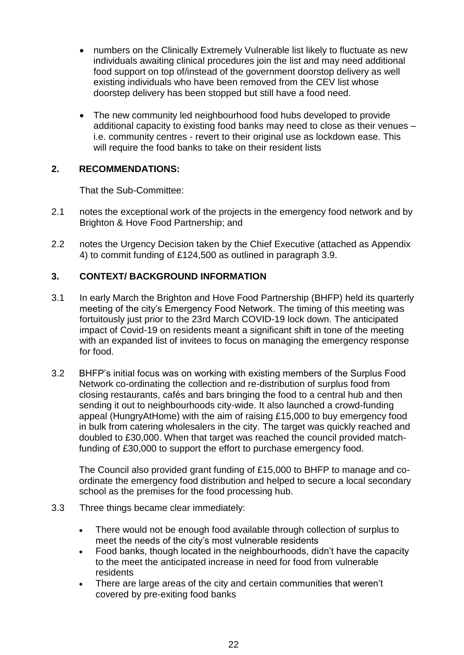- numbers on the Clinically Extremely Vulnerable list likely to fluctuate as new individuals awaiting clinical procedures join the list and may need additional food support on top of/instead of the government doorstop delivery as well existing individuals who have been removed from the CEV list whose doorstep delivery has been stopped but still have a food need.
- The new community led neighbourhood food hubs developed to provide additional capacity to existing food banks may need to close as their venues – i.e. community centres - revert to their original use as lockdown ease. This will require the food banks to take on their resident lists

### **2. RECOMMENDATIONS:**

That the Sub-Committee:

- 2.1 notes the exceptional work of the projects in the emergency food network and by Brighton & Hove Food Partnership; and
- 2.2 notes the Urgency Decision taken by the Chief Executive (attached as Appendix 4) to commit funding of £124,500 as outlined in paragraph 3.9.

## **3. CONTEXT/ BACKGROUND INFORMATION**

- 3.1 In early March the Brighton and Hove Food Partnership (BHFP) held its quarterly meeting of the city's Emergency Food Network. The timing of this meeting was fortuitously just prior to the 23rd March COVID-19 lock down. The anticipated impact of Covid-19 on residents meant a significant shift in tone of the meeting with an expanded list of invitees to focus on managing the emergency response for food.
- 3.2 BHFP's initial focus was on working with existing members of the Surplus Food Network co-ordinating the collection and re-distribution of surplus food from closing restaurants, cafés and bars bringing the food to a central hub and then sending it out to neighbourhoods city-wide. It also launched a crowd-funding appeal (HungryAtHome) with the aim of raising £15,000 to buy emergency food in bulk from catering wholesalers in the city. The target was quickly reached and doubled to £30,000. When that target was reached the council provided matchfunding of £30,000 to support the effort to purchase emergency food.

The Council also provided grant funding of £15,000 to BHFP to manage and coordinate the emergency food distribution and helped to secure a local secondary school as the premises for the food processing hub.

- 3.3 Three things became clear immediately:
	- There would not be enough food available through collection of surplus to meet the needs of the city's most vulnerable residents
	- Food banks, though located in the neighbourhoods, didn't have the capacity to the meet the anticipated increase in need for food from vulnerable residents
	- There are large areas of the city and certain communities that weren't covered by pre-exiting food banks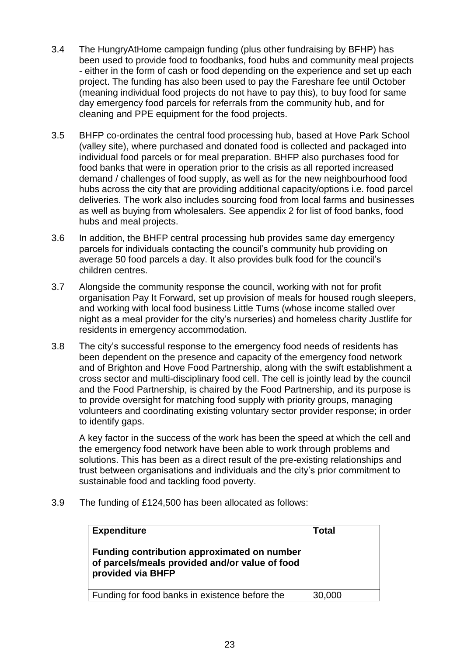- 3.4 The HungryAtHome campaign funding (plus other fundraising by BFHP) has been used to provide food to foodbanks, food hubs and community meal projects - either in the form of cash or food depending on the experience and set up each project. The funding has also been used to pay the Fareshare fee until October (meaning individual food projects do not have to pay this), to buy food for same day emergency food parcels for referrals from the community hub, and for cleaning and PPE equipment for the food projects.
- 3.5 BHFP co-ordinates the central food processing hub, based at Hove Park School (valley site), where purchased and donated food is collected and packaged into individual food parcels or for meal preparation. BHFP also purchases food for food banks that were in operation prior to the crisis as all reported increased demand / challenges of food supply, as well as for the new neighbourhood food hubs across the city that are providing additional capacity/options i.e. food parcel deliveries. The work also includes sourcing food from local farms and businesses as well as buying from wholesalers. See appendix 2 for list of food banks, food hubs and meal projects.
- 3.6 In addition, the BHFP central processing hub provides same day emergency parcels for individuals contacting the council's community hub providing on average 50 food parcels a day. It also provides bulk food for the council's children centres.
- 3.7 Alongside the community response the council, working with not for profit organisation Pay It Forward, set up provision of meals for housed rough sleepers, and working with local food business Little Tums (whose income stalled over night as a meal provider for the city's nurseries) and homeless charity Justlife for residents in emergency accommodation.
- 3.8 The city's successful response to the emergency food needs of residents has been dependent on the presence and capacity of the emergency food network and of Brighton and Hove Food Partnership, along with the swift establishment a cross sector and multi-disciplinary food cell. The cell is jointly lead by the council and the Food Partnership, is chaired by the Food Partnership, and its purpose is to provide oversight for matching food supply with priority groups, managing volunteers and coordinating existing voluntary sector provider response; in order to identify gaps.

A key factor in the success of the work has been the speed at which the cell and the emergency food network have been able to work through problems and solutions. This has been as a direct result of the pre-existing relationships and trust between organisations and individuals and the city's prior commitment to sustainable food and tackling food poverty.

3.9 The funding of £124,500 has been allocated as follows:

| <b>Expenditure</b><br>Funding contribution approximated on number<br>of parcels/meals provided and/or value of food<br>provided via BHFP | <b>Total</b> |
|------------------------------------------------------------------------------------------------------------------------------------------|--------------|
| Funding for food banks in existence before the                                                                                           | 30,000       |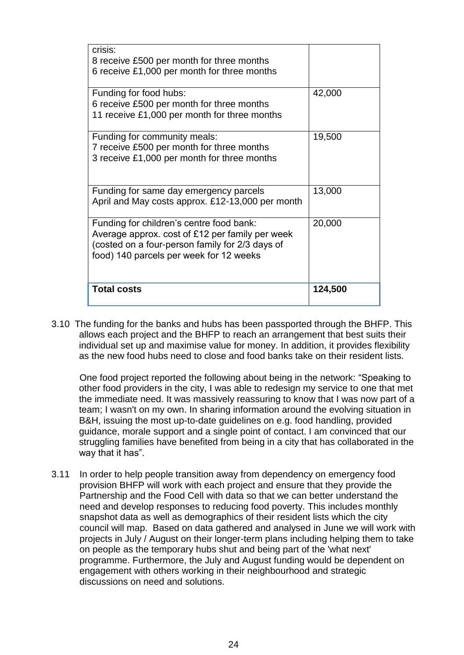| crisis:<br>8 receive £500 per month for three months<br>6 receive £1,000 per month for three months                                                                                       |         |
|-------------------------------------------------------------------------------------------------------------------------------------------------------------------------------------------|---------|
| Funding for food hubs:<br>6 receive £500 per month for three months<br>11 receive £1,000 per month for three months                                                                       | 42,000  |
| Funding for community meals:<br>7 receive £500 per month for three months<br>3 receive £1,000 per month for three months                                                                  | 19,500  |
| Funding for same day emergency parcels<br>April and May costs approx. £12-13,000 per month                                                                                                | 13,000  |
| Funding for children's centre food bank:<br>Average approx. cost of £12 per family per week<br>(costed on a four-person family for 2/3 days of<br>food) 140 parcels per week for 12 weeks | 20,000  |
| <b>Total costs</b>                                                                                                                                                                        | 124,500 |

3.10 The funding for the banks and hubs has been passported through the BHFP. This allows each project and the BHFP to reach an arrangement that best suits their individual set up and maximise value for money. In addition, it provides flexibility as the new food hubs need to close and food banks take on their resident lists.

One food project reported the following about being in the network: "Speaking to other food providers in the city, I was able to redesign my service to one that met the immediate need. It was massively reassuring to know that I was now part of a team; I wasn't on my own. In sharing information around the evolving situation in B&H, issuing the most up-to-date guidelines on e.g. food handling, provided guidance, morale support and a single point of contact. I am convinced that our struggling families have benefited from being in a city that has collaborated in the way that it has".

3.11 In order to help people transition away from dependency on emergency food provision BHFP will work with each project and ensure that they provide the Partnership and the Food Cell with data so that we can better understand the need and develop responses to reducing food poverty. This includes monthly snapshot data as well as demographics of their resident lists which the city council will map. Based on data gathered and analysed in June we will work with projects in July / August on their longer-term plans including helping them to take on people as the temporary hubs shut and being part of the 'what next' programme. Furthermore, the July and August funding would be dependent on engagement with others working in their neighbourhood and strategic discussions on need and solutions.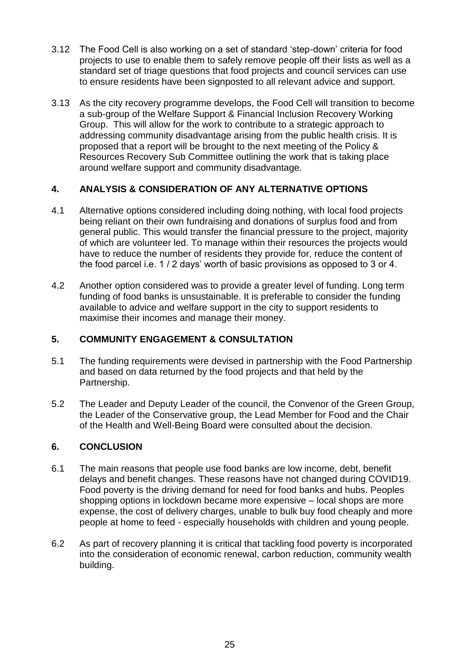- 3.12 The Food Cell is also working on a set of standard 'step-down' criteria for food projects to use to enable them to safely remove people off their lists as well as a standard set of triage questions that food projects and council services can use to ensure residents have been signposted to all relevant advice and support.
- 3.13 As the city recovery programme develops, the Food Cell will transition to become a sub-group of the Welfare Support & Financial Inclusion Recovery Working Group. This will allow for the work to contribute to a strategic approach to addressing community disadvantage arising from the public health crisis. It is proposed that a report will be brought to the next meeting of the Policy & Resources Recovery Sub Committee outlining the work that is taking place around welfare support and community disadvantage.

# **4. ANALYSIS & CONSIDERATION OF ANY ALTERNATIVE OPTIONS**

- 4.1 Alternative options considered including doing nothing, with local food projects being reliant on their own fundraising and donations of surplus food and from general public. This would transfer the financial pressure to the project, majority of which are volunteer led. To manage within their resources the projects would have to reduce the number of residents they provide for, reduce the content of the food parcel i.e. 1 / 2 days' worth of basic provisions as opposed to 3 or 4.
- 4.2 Another option considered was to provide a greater level of funding. Long term funding of food banks is unsustainable. It is preferable to consider the funding available to advice and welfare support in the city to support residents to maximise their incomes and manage their money.

## **5. COMMUNITY ENGAGEMENT & CONSULTATION**

- 5.1 The funding requirements were devised in partnership with the Food Partnership and based on data returned by the food projects and that held by the Partnership.
- 5.2 The Leader and Deputy Leader of the council, the Convenor of the Green Group, the Leader of the Conservative group, the Lead Member for Food and the Chair of the Health and Well-Being Board were consulted about the decision.

## **6. CONCLUSION**

- 6.1 The main reasons that people use food banks are low income, debt, benefit delays and benefit changes. These reasons have not changed during COVID19. Food poverty is the driving demand for need for food banks and hubs. Peoples shopping options in lockdown became more expensive – local shops are more expense, the cost of delivery charges, unable to bulk buy food cheaply and more people at home to feed - especially households with children and young people.
- 6.2 As part of recovery planning it is critical that tackling food poverty is incorporated into the consideration of economic renewal, carbon reduction, community wealth building.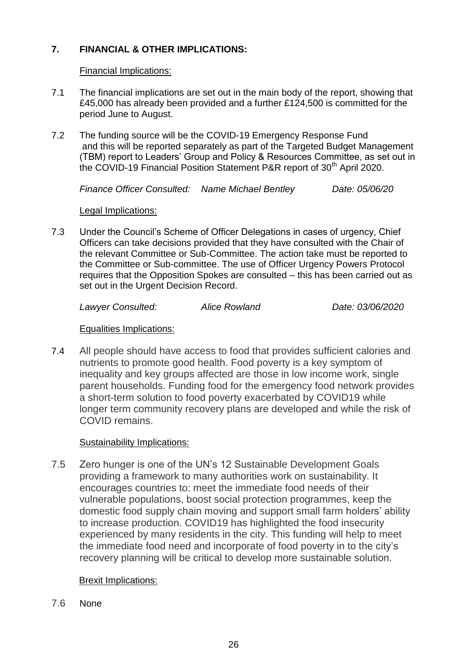# **7. FINANCIAL & OTHER IMPLICATIONS:**

### Financial Implications:

- 7.1 The financial implications are set out in the main body of the report, showing that £45,000 has already been provided and a further £124,500 is committed for the period June to August.
- 7.2 The funding source will be the COVID-19 Emergency Response Fund and this will be reported separately as part of the Targeted Budget Management (TBM) report to Leaders' Group and Policy & Resources Committee, as set out in the COVID-19 Financial Position Statement P&R report of 30<sup>th</sup> April 2020.

*Finance Officer Consulted: Name Michael Bentley Date: 05/06/20*

#### Legal Implications:

7.3 Under the Council's Scheme of Officer Delegations in cases of urgency, Chief Officers can take decisions provided that they have consulted with the Chair of the relevant Committee or Sub-Committee. The action take must be reported to the Committee or Sub-committee. The use of Officer Urgency Powers Protocol requires that the Opposition Spokes are consulted – this has been carried out as set out in the Urgent Decision Record.

*Lawyer Consulted: Alice Rowland Date: 03/06/2020*

#### Equalities Implications:

7.4 All people should have access to food that provides sufficient calories and nutrients to promote good health. Food poverty is a key symptom of inequality and key groups affected are those in low income work, single parent households. Funding food for the emergency food network provides a short-term solution to food poverty exacerbated by COVID19 while longer term community recovery plans are developed and while the risk of COVID remains.

## Sustainability Implications:

7.5 Zero hunger is one of the UN's 12 Sustainable Development Goals providing a framework to many authorities work on sustainability. It encourages countries to: meet the immediate food needs of their vulnerable populations, boost social protection programmes, keep the domestic food supply chain moving and support small farm holders' ability to increase production. COVID19 has highlighted the food insecurity experienced by many residents in the city. This funding will help to meet the immediate food need and incorporate of food poverty in to the city's recovery planning will be critical to develop more sustainable solution.

## Brexit Implications:

7.6 None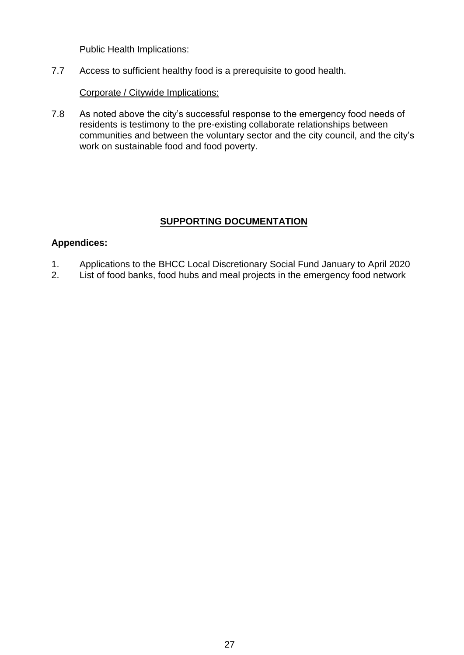#### Public Health Implications:

7.7 Access to sufficient healthy food is a prerequisite to good health.

### Corporate / Citywide Implications:

7.8 As noted above the city's successful response to the emergency food needs of residents is testimony to the pre-existing collaborate relationships between communities and between the voluntary sector and the city council, and the city's work on sustainable food and food poverty.

# **SUPPORTING DOCUMENTATION**

## **Appendices:**

- 1. Applications to the BHCC Local Discretionary Social Fund January to April 2020
- 2. List of food banks, food hubs and meal projects in the emergency food network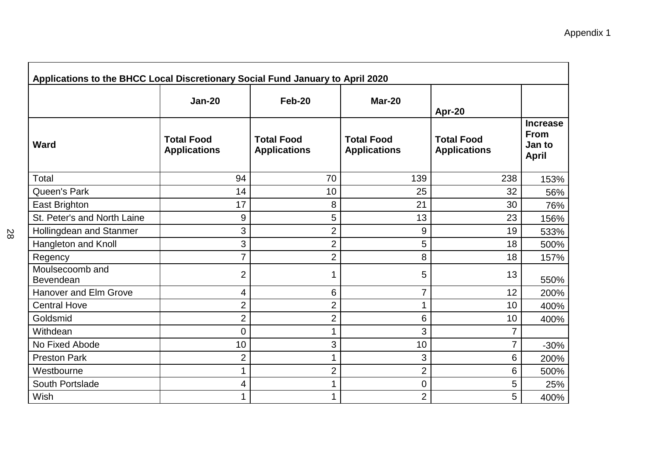| Applications to the BHCC Local Discretionary Social Fund January to April 2020 |                                          |                                          |                                          |                                          |                                                          |
|--------------------------------------------------------------------------------|------------------------------------------|------------------------------------------|------------------------------------------|------------------------------------------|----------------------------------------------------------|
|                                                                                | <b>Jan-20</b>                            | Feb-20                                   | Mar-20                                   | Apr-20                                   |                                                          |
| <b>Ward</b>                                                                    | <b>Total Food</b><br><b>Applications</b> | <b>Total Food</b><br><b>Applications</b> | <b>Total Food</b><br><b>Applications</b> | <b>Total Food</b><br><b>Applications</b> | <b>Increase</b><br><b>From</b><br>Jan to<br><b>April</b> |
| Total                                                                          | 94                                       | 70                                       | 139                                      | 238                                      | 153%                                                     |
| Queen's Park                                                                   | 14                                       | 10                                       | 25                                       | 32                                       | 56%                                                      |
| East Brighton                                                                  | 17                                       | 8                                        | 21                                       | 30                                       | 76%                                                      |
| St. Peter's and North Laine                                                    | 9                                        | 5                                        | 13                                       | 23                                       | 156%                                                     |
| Hollingdean and Stanmer                                                        | 3                                        | $\overline{2}$                           | 9                                        | 19                                       | 533%                                                     |
| Hangleton and Knoll                                                            | 3                                        | $\overline{2}$                           | 5                                        | 18                                       | 500%                                                     |
| Regency                                                                        | 7                                        | $\overline{2}$                           | 8                                        | 18                                       | 157%                                                     |
| Moulsecoomb and<br>Bevendean                                                   | $\overline{2}$                           | 1                                        | 5                                        | 13                                       | 550%                                                     |
| <b>Hanover and Elm Grove</b>                                                   | 4                                        | 6                                        | 7                                        | 12                                       | 200%                                                     |
| <b>Central Hove</b>                                                            | 2                                        | $\overline{2}$                           | 1                                        | 10                                       | 400%                                                     |
| Goldsmid                                                                       | $\overline{2}$                           | 2                                        | 6                                        | 10                                       | 400%                                                     |
| Withdean                                                                       | 0                                        | $\mathbf 1$                              | 3                                        | 7                                        |                                                          |
| No Fixed Abode                                                                 | 10                                       | 3                                        | 10                                       | $\overline{7}$                           | $-30%$                                                   |
| <b>Preston Park</b>                                                            | $\overline{2}$                           | $\mathbf 1$                              | 3                                        | 6                                        | 200%                                                     |
| Westbourne                                                                     | 1                                        | 2                                        | 2                                        | 6                                        | 500%                                                     |
| South Portslade                                                                | 4                                        | 1                                        | 0                                        | 5                                        | 25%                                                      |
| Wish                                                                           | 1                                        | 1                                        | $\overline{2}$                           | 5                                        | 400%                                                     |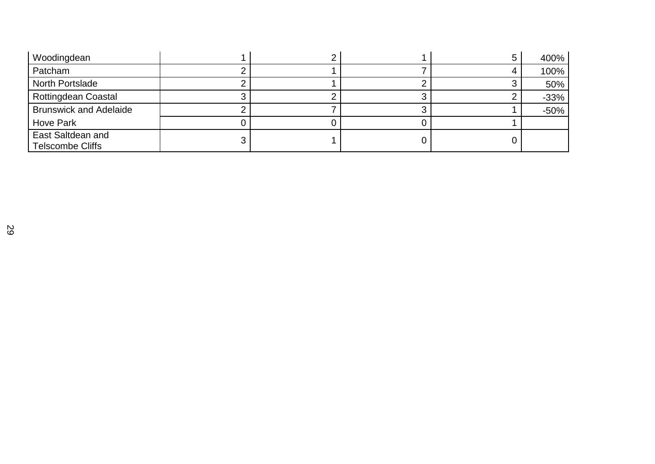| Woodingdean                                  |  |  | 400%   |
|----------------------------------------------|--|--|--------|
| Patcham                                      |  |  | 100%   |
| North Portslade                              |  |  | 50%    |
| <b>Rottingdean Coastal</b>                   |  |  | $-33%$ |
| <b>Brunswick and Adelaide</b>                |  |  | $-50%$ |
| <b>Hove Park</b>                             |  |  |        |
| East Saltdean and<br><b>Telscombe Cliffs</b> |  |  |        |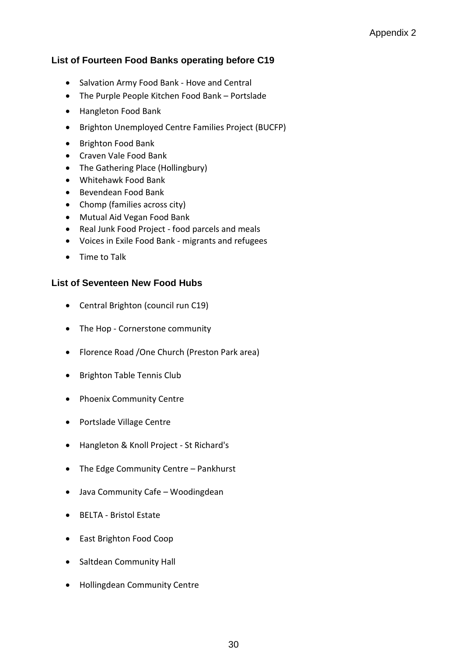## **List of Fourteen Food Banks operating before C19**

- Salvation Army Food Bank Hove and Central
- The Purple People Kitchen Food Bank Portslade
- Hangleton Food Bank
- Brighton Unemployed Centre Families Project (BUCFP)
- Brighton Food Bank
- Craven Vale Food Bank
- The Gathering Place (Hollingbury)
- Whitehawk Food Bank
- Bevendean Food Bank
- Chomp (families across city)
- Mutual Aid Vegan Food Bank
- Real Junk Food Project food parcels and meals
- Voices in Exile Food Bank migrants and refugees
- Time to Talk

#### **List of Seventeen New Food Hubs**

- Central Brighton (council run C19)
- The Hop Cornerstone community
- Florence Road /One Church (Preston Park area)
- Brighton Table Tennis Club
- Phoenix Community Centre
- Portslade Village Centre
- Hangleton & Knoll Project St Richard's
- The Edge Community Centre Pankhurst
- Java Community Cafe Woodingdean
- BELTA Bristol Estate
- East Brighton Food Coop
- Saltdean Community Hall
- Hollingdean Community Centre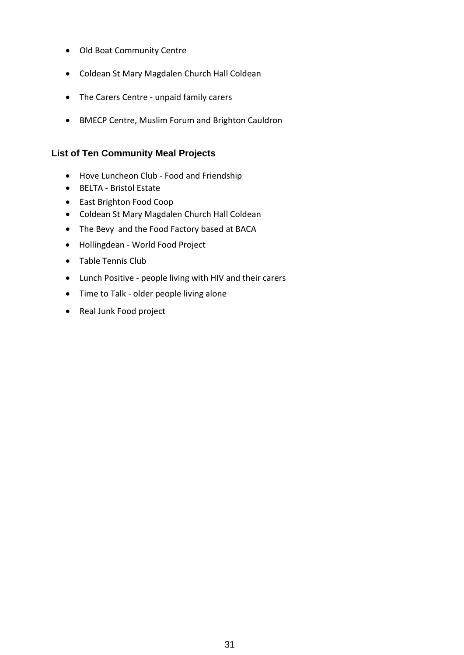- Old Boat Community Centre
- Coldean St Mary Magdalen Church Hall Coldean
- The Carers Centre unpaid family carers
- BMECP Centre, Muslim Forum and Brighton Cauldron

#### **List of Ten Community Meal Projects**

- Hove Luncheon Club Food and Friendship
- BELTA Bristol Estate
- East Brighton Food Coop
- Coldean St Mary Magdalen Church Hall Coldean
- The Bevy and the Food Factory based at BACA
- Hollingdean World Food Project
- Table Tennis Club
- Lunch Positive people living with HIV and their carers
- Time to Talk older people living alone
- Real Junk Food project